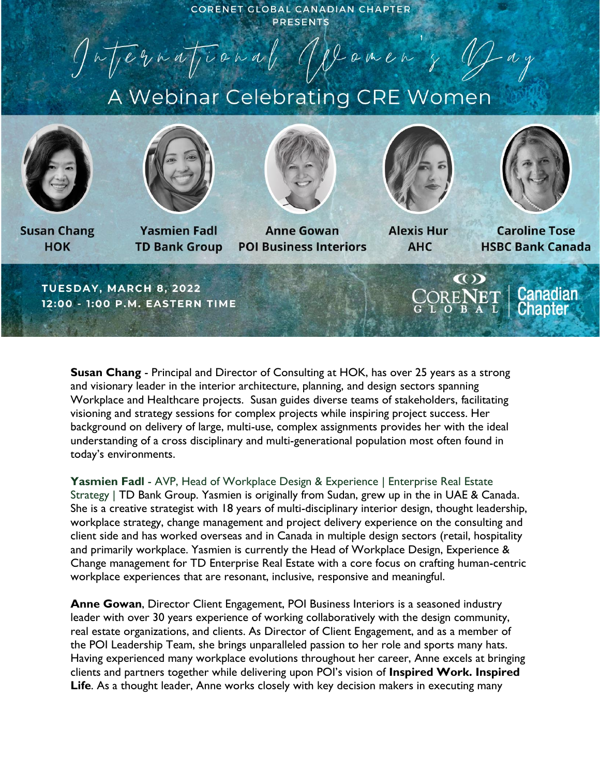CORENET GLOBAL CANADIAN CHAPTER **PRESENTS** 

Jatjernational ODomen & Yay

## A Webinar Celebrating CRE Women





**Susan Chang HOK** 

**Yasmien Fadl TD Bank Group** 



**Anne Gowan POI Business Interiors** 



**Alexis Hur AHC** 



**Caroline Tose HSBC Bank Canada** 

TUESDAY, MARCH 8, 2022 12:00 - 1:00 P.M. EASTERN TIME



**Susan Chang** - Principal and Director of Consulting at HOK, has over 25 years as a strong and visionary leader in the interior architecture, planning, and design sectors spanning Workplace and Healthcare projects. Susan guides diverse teams of stakeholders, facilitating visioning and strategy sessions for complex projects while inspiring project success. Her background on delivery of large, multi-use, complex assignments provides her with the ideal understanding of a cross disciplinary and multi-generational population most often found in today's environments.

**Yasmien Fadl** - AVP, Head of Workplace Design & Experience | Enterprise Real Estate Strategy | TD Bank Group. Yasmien is originally from Sudan, grew up in the in UAE & Canada. She is a creative strategist with 18 years of multi-disciplinary interior design, thought leadership, workplace strategy, change management and project delivery experience on the consulting and client side and has worked overseas and in Canada in multiple design sectors (retail, hospitality and primarily workplace. Yasmien is currently the Head of Workplace Design, Experience & Change management for TD Enterprise Real Estate with a core focus on crafting human-centric workplace experiences that are resonant, inclusive, responsive and meaningful.

**Anne Gowan**, Director Client Engagement, POI Business Interiors is a seasoned industry leader with over 30 years experience of working collaboratively with the design community, real estate organizations, and clients. As Director of Client Engagement, and as a member of the POI Leadership Team, she brings unparalleled passion to her role and sports many hats. Having experienced many workplace evolutions throughout her career, Anne excels at bringing clients and partners together while delivering upon POI's vision of **Inspired Work. Inspired Life**. As a thought leader, Anne works closely with key decision makers in executing many